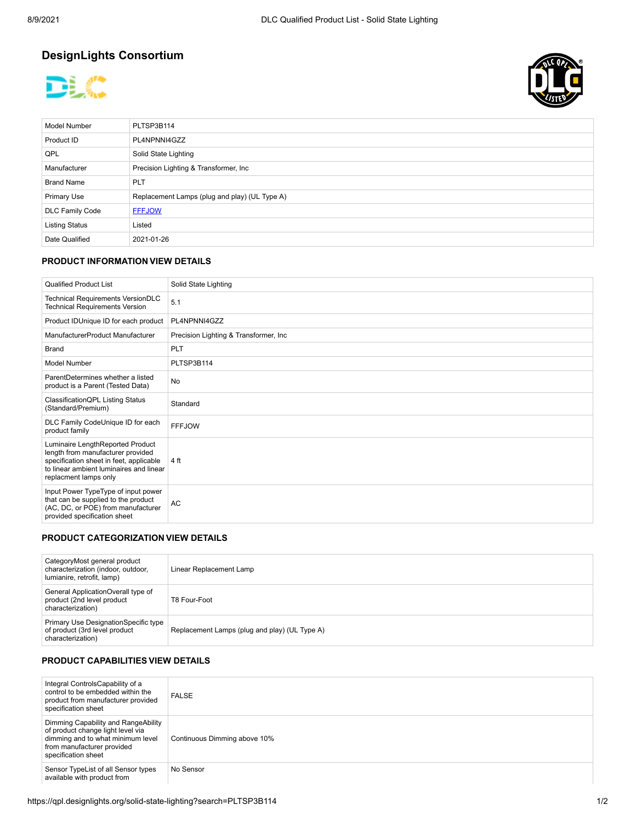# **DesignLights Consortium**





| <b>Model Number</b>    | PLTSP3B114                                    |  |
|------------------------|-----------------------------------------------|--|
| Product ID             | PL4NPNNI4GZZ                                  |  |
| QPL                    | Solid State Lighting                          |  |
| Manufacturer           | Precision Lighting & Transformer, Inc.        |  |
| <b>Brand Name</b>      | <b>PLT</b>                                    |  |
| <b>Primary Use</b>     | Replacement Lamps (plug and play) (UL Type A) |  |
| <b>DLC Family Code</b> | <b>FFFJOW</b>                                 |  |
| <b>Listing Status</b>  | Listed                                        |  |
| Date Qualified         | 2021-01-26                                    |  |

#### **PRODUCT INFORMATION VIEW DETAILS**

| <b>Qualified Product List</b>                                                                                                                                                        | Solid State Lighting                   |
|--------------------------------------------------------------------------------------------------------------------------------------------------------------------------------------|----------------------------------------|
| Technical Requirements VersionDLC<br><b>Technical Requirements Version</b>                                                                                                           | 5.1                                    |
| Product IDUnique ID for each product                                                                                                                                                 | PL4NPNNI4GZZ                           |
| ManufacturerProduct Manufacturer                                                                                                                                                     | Precision Lighting & Transformer, Inc. |
| <b>Brand</b>                                                                                                                                                                         | <b>PLT</b>                             |
| Model Number                                                                                                                                                                         | PLTSP3B114                             |
| ParentDetermines whether a listed<br>product is a Parent (Tested Data)                                                                                                               | No                                     |
| Classification QPL Listing Status<br>(Standard/Premium)                                                                                                                              | Standard                               |
| DLC Family CodeUnique ID for each<br>product family                                                                                                                                  | <b>FFFJOW</b>                          |
| Luminaire LengthReported Product<br>length from manufacturer provided<br>specification sheet in feet, applicable<br>to linear ambient luminaires and linear<br>replacment lamps only | 4 ft                                   |
| Input Power TypeType of input power<br>that can be supplied to the product<br>(AC, DC, or POE) from manufacturer<br>provided specification sheet                                     | AC                                     |

## **PRODUCT CATEGORIZATION VIEW DETAILS**

| CategoryMost general product<br>characterization (indoor, outdoor,<br>lumianire, retrofit, lamp) | Linear Replacement Lamp                       |
|--------------------------------------------------------------------------------------------------|-----------------------------------------------|
| General ApplicationOverall type of<br>product (2nd level product<br>characterization)            | T8 Four-Foot                                  |
| Primary Use DesignationSpecific type<br>of product (3rd level product<br>characterization)       | Replacement Lamps (plug and play) (UL Type A) |

### **PRODUCT CAPABILITIES VIEW DETAILS**

| Integral ControlsCapability of a<br>control to be embedded within the<br>product from manufacturer provided<br>specification sheet                                 | <b>FALSE</b>                 |
|--------------------------------------------------------------------------------------------------------------------------------------------------------------------|------------------------------|
| Dimming Capability and RangeAbility<br>of product change light level via<br>dimming and to what minimum level<br>from manufacturer provided<br>specification sheet | Continuous Dimming above 10% |
| Sensor TypeList of all Sensor types<br>available with product from                                                                                                 | No Sensor                    |